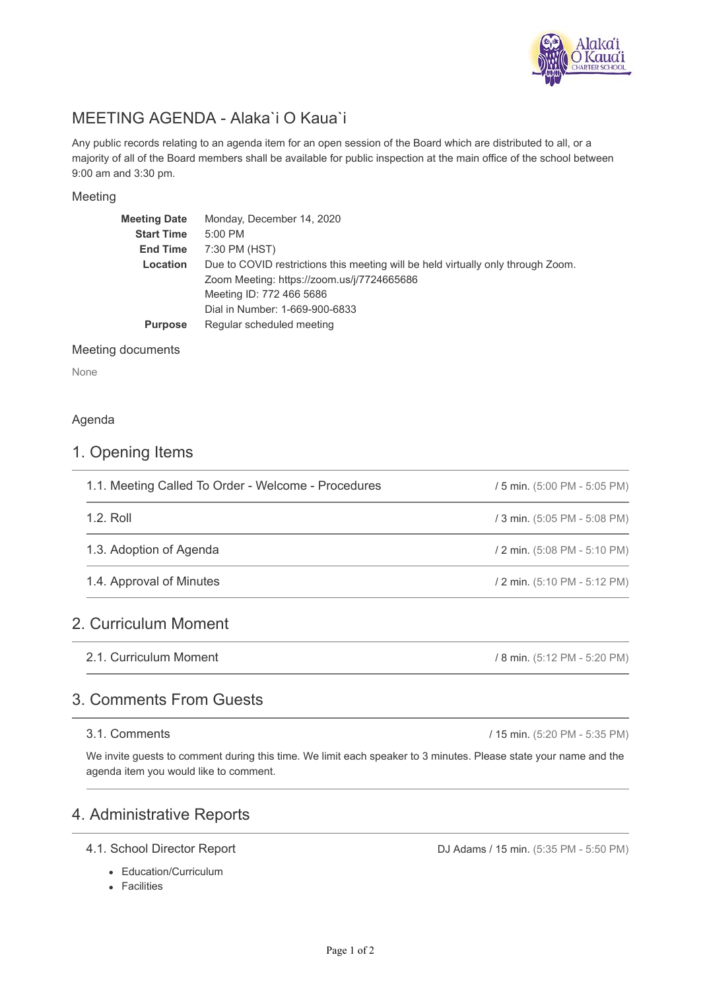

# MEETING AGENDA - Alaka`i O Kaua`i

Any public records relating to an agenda item for an open session of the Board which are distributed to all, or a majority of all of the Board members shall be available for public inspection at the main office of the school between 9:00 am and 3:30 pm.

#### Meeting

| <b>Meeting Date</b> | Monday, December 14, 2020                                                        |
|---------------------|----------------------------------------------------------------------------------|
| <b>Start Time</b>   | 5:00 PM                                                                          |
| <b>End Time</b>     | 7:30 PM (HST)                                                                    |
| Location            | Due to COVID restrictions this meeting will be held virtually only through Zoom. |
|                     | Zoom Meeting: https://zoom.us/j/7724665686                                       |
|                     | Meeting ID: 772 466 5686                                                         |
|                     | Dial in Number: 1-669-900-6833                                                   |
| <b>Purpose</b>      | Regular scheduled meeting                                                        |
|                     |                                                                                  |

#### Meeting documents

None

#### Agenda

# 1. Opening Items

| 1.1. Meeting Called To Order - Welcome - Procedures | / 5 min. (5:00 PM - 5:05 PM) |
|-----------------------------------------------------|------------------------------|
| 1.2. Roll                                           | / 3 min. (5:05 PM - 5:08 PM) |
| 1.3. Adoption of Agenda                             | / 2 min. (5:08 PM - 5:10 PM) |
| 1.4. Approval of Minutes                            | / 2 min. (5:10 PM - 5:12 PM) |
| 2. Curriculum Moment                                |                              |
| 2.1. Curriculum Moment                              | / 8 min. (5:12 PM - 5:20 PM) |

# 3. Comments From Guests

#### 3.1. Comments

We invite guests to comment during this time. We limit each speaker to 3 minutes. Please state your name and the agenda item you would like to comment.

# 4. Administrative Reports

- 4.1. School Director Report
	- Education/Curriculum
	- Facilities

DJ Adams / 15 min. (5:35 PM - 5:50 PM)

/ 15 min. (5:20 PM - 5:35 PM)